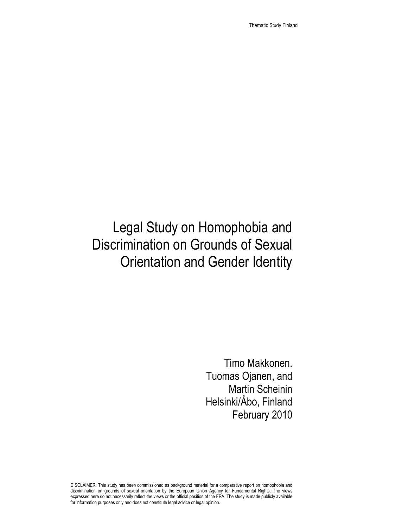Thematic Study Finland

# Legal Study on Homophobia and Discrimination on Grounds of Sexual Orientation and Gender Identity

Timo Makkonen. Tuomas Ojanen, and Martin Scheinin Helsinki/Åbo, Finland February 2010

DISCLAIMER: This study has been commissioned as background material for a comparative report on homophobia and discrimination on grounds of sexual orientation by the European Union Agency for Fundamental Rights. The views expressed here do not necessarily reflect the views or the official position of the FRA. The study is made publicly available for information purposes only and does not constitute legal advice or legal opinion.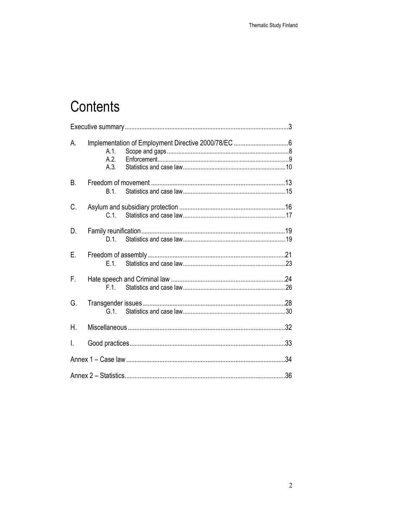# Contents

| А. | $A.1$ .<br>A.2<br>A.3 |     |
|----|-----------------------|-----|
| В. | B.1.                  |     |
| C. | C.1                   |     |
| D. | D.1.                  |     |
| Е. | F 1                   |     |
| F. | F 1                   |     |
| G. | G <sub>1</sub>        |     |
| Η. |                       |     |
| L  |                       |     |
|    |                       | .34 |
|    |                       | .36 |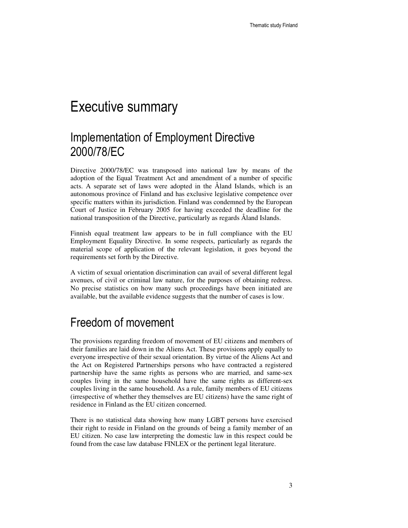## Executive summary

### Implementation of Employment Directive 2000/78/EC

Directive 2000/78/EC was transposed into national law by means of the adoption of the Equal Treatment Act and amendment of a number of specific acts. A separate set of laws were adopted in the Åland Islands, which is an autonomous province of Finland and has exclusive legislative competence over specific matters within its jurisdiction. Finland was condemned by the European Court of Justice in February 2005 for having exceeded the deadline for the national transposition of the Directive, particularly as regards Åland Islands.

Finnish equal treatment law appears to be in full compliance with the EU Employment Equality Directive. In some respects, particularly as regards the material scope of application of the relevant legislation, it goes beyond the requirements set forth by the Directive.

A victim of sexual orientation discrimination can avail of several different legal avenues, of civil or criminal law nature, for the purposes of obtaining redress. No precise statistics on how many such proceedings have been initiated are available, but the available evidence suggests that the number of cases is low.

### Freedom of movement

The provisions regarding freedom of movement of EU citizens and members of their families are laid down in the Aliens Act. These provisions apply equally to everyone irrespective of their sexual orientation. By virtue of the Aliens Act and the Act on Registered Partnerships persons who have contracted a registered partnership have the same rights as persons who are married, and same-sex couples living in the same household have the same rights as different-sex couples living in the same household. As a rule, family members of EU citizens (irrespective of whether they themselves are EU citizens) have the same right of residence in Finland as the EU citizen concerned.

There is no statistical data showing how many LGBT persons have exercised their right to reside in Finland on the grounds of being a family member of an EU citizen. No case law interpreting the domestic law in this respect could be found from the case law database FINLEX or the pertinent legal literature.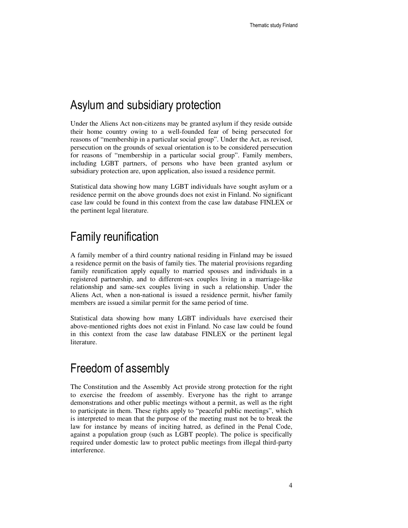#### Asylum and subsidiary protection

Under the Aliens Act non-citizens may be granted asylum if they reside outside their home country owing to a well-founded fear of being persecuted for reasons of "membership in a particular social group". Under the Act, as revised, persecution on the grounds of sexual orientation is to be considered persecution for reasons of "membership in a particular social group". Family members, including LGBT partners, of persons who have been granted asylum or subsidiary protection are, upon application, also issued a residence permit.

Statistical data showing how many LGBT individuals have sought asylum or a residence permit on the above grounds does not exist in Finland. No significant case law could be found in this context from the case law database FINLEX or the pertinent legal literature.

#### Family reunification

A family member of a third country national residing in Finland may be issued a residence permit on the basis of family ties. The material provisions regarding family reunification apply equally to married spouses and individuals in a registered partnership, and to different-sex couples living in a marriage-like relationship and same-sex couples living in such a relationship. Under the Aliens Act, when a non-national is issued a residence permit, his/her family members are issued a similar permit for the same period of time.

Statistical data showing how many LGBT individuals have exercised their above-mentioned rights does not exist in Finland. No case law could be found in this context from the case law database FINLEX or the pertinent legal literature.

#### Freedom of assembly

The Constitution and the Assembly Act provide strong protection for the right to exercise the freedom of assembly. Everyone has the right to arrange demonstrations and other public meetings without a permit, as well as the right to participate in them. These rights apply to "peaceful public meetings", which is interpreted to mean that the purpose of the meeting must not be to break the law for instance by means of inciting hatred, as defined in the Penal Code, against a population group (such as LGBT people). The police is specifically required under domestic law to protect public meetings from illegal third-party interference.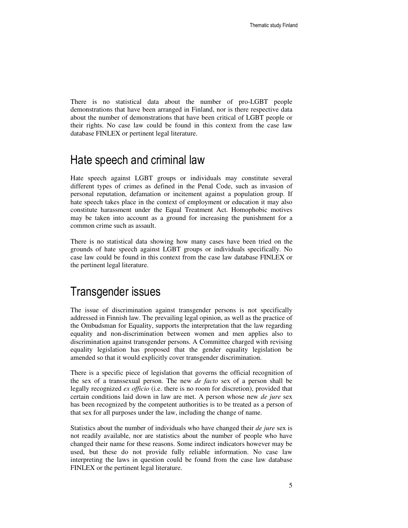There is no statistical data about the number of pro-LGBT people demonstrations that have been arranged in Finland, nor is there respective data about the number of demonstrations that have been critical of LGBT people or their rights. No case law could be found in this context from the case law database FINLEX or pertinent legal literature.

#### Hate speech and criminal law

Hate speech against LGBT groups or individuals may constitute several different types of crimes as defined in the Penal Code, such as invasion of personal reputation, defamation or incitement against a population group. If hate speech takes place in the context of employment or education it may also constitute harassment under the Equal Treatment Act. Homophobic motives may be taken into account as a ground for increasing the punishment for a common crime such as assault.

There is no statistical data showing how many cases have been tried on the grounds of hate speech against LGBT groups or individuals specifically. No case law could be found in this context from the case law database FINLEX or the pertinent legal literature.

#### Transgender issues

The issue of discrimination against transgender persons is not specifically addressed in Finnish law. The prevailing legal opinion, as well as the practice of the Ombudsman for Equality, supports the interpretation that the law regarding equality and non-discrimination between women and men applies also to discrimination against transgender persons. A Committee charged with revising equality legislation has proposed that the gender equality legislation be amended so that it would explicitly cover transgender discrimination.

There is a specific piece of legislation that governs the official recognition of the sex of a transsexual person. The new *de facto* sex of a person shall be legally recognized *ex officio* (i.e. there is no room for discretion), provided that certain conditions laid down in law are met. A person whose new *de jure* sex has been recognized by the competent authorities is to be treated as a person of that sex for all purposes under the law, including the change of name.

Statistics about the number of individuals who have changed their *de jure* sex is not readily available, nor are statistics about the number of people who have changed their name for these reasons. Some indirect indicators however may be used, but these do not provide fully reliable information. No case law interpreting the laws in question could be found from the case law database FINLEX or the pertinent legal literature.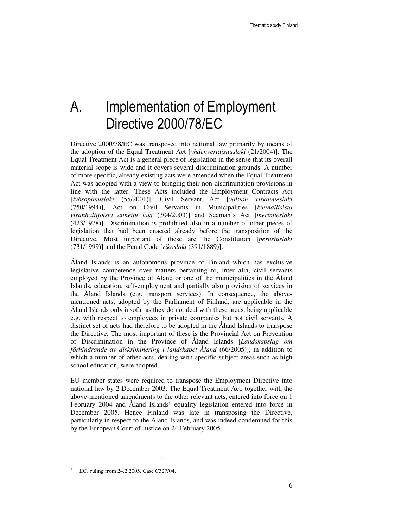# A. Implementation of Employment Directive 2000/78/EC

Directive 2000/78/EC was transposed into national law primarily by means of the adoption of the Equal Treatment Act [*yhdenvertaisuuslaki* (21/2004)]. The Equal Treatment Act is a general piece of legislation in the sense that its overall material scope is wide and it covers several discrimination grounds. A number of more specific, already existing acts were amended when the Equal Treatment Act was adopted with a view to bringing their non-discrimination provisions in line with the latter. These Acts included the Employment Contracts Act [*työsopimuslaki* (55/2001)], Civil Servant Act [*valtion virkamieslaki* (750/1994)], Act on Civil Servants in Municipalities [*kunnallisista viranhaltijoista annettu laki* (304/2003)] and Seaman's Act [*merimieslaki* (423/1978)]. Discrimination is prohibited also in a number of other pieces of legislation that had been enacted already before the transposition of the Directive. Most important of these are the Constitution [*perustuslaki*  (731/1999)] and the Penal Code [*rikoslaki* (391/1889)].

Åland Islands is an autonomous province of Finland which has exclusive legislative competence over matters pertaining to, inter alia, civil servants employed by the Province of Åland or one of the municipalities in the Åland Islands, education, self-employment and partially also provision of services in the Åland Islands (e.g. transport services). In consequence, the abovementioned acts, adopted by the Parliament of Finland, are applicable in the Åland Islands only insofar as they do not deal with these areas, being applicable e.g. with respect to employees in private companies but not civil servants. A distinct set of acts had therefore to be adopted in the Åland Islands to transpose the Directive. The most important of these is the Provincial Act on Prevention of Discrimination in the Province of Åland Islands [*Landskapslag om förhindrande av diskriminering i landskapet Åland* (66/2005)], in addition to which a number of other acts, dealing with specific subject areas such as high school education, were adopted.

EU member states were required to transpose the Employment Directive into national law by 2 December 2003. The Equal Treatment Act, together with the above-mentioned amendments to the other relevant acts, entered into force on 1 February 2004 and Åland Islands' equality legislation entered into force in December 2005. Hence Finland was late in transposing the Directive, particularly in respect to the Åland Islands, and was indeed condemned for this by the European Court of Justice on 24 February  $2005$ <sup>1</sup>

l

<sup>&</sup>lt;sup>1</sup> ECJ ruling from 24.2.2005, Case C327/04.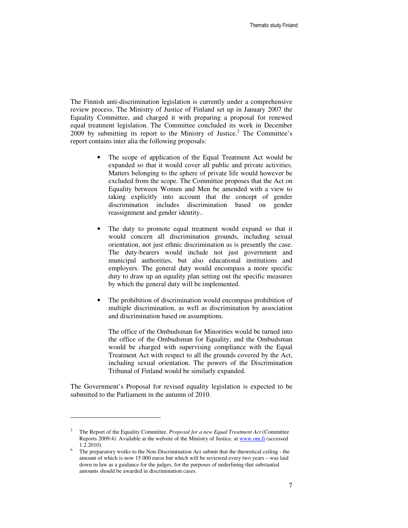The Finnish anti-discrimination legislation is currently under a comprehensive review process. The Ministry of Justice of Finland set up in January 2007 the Equality Committee, and charged it with preparing a proposal for renewed equal treatment legislation. The Committee concluded its work in December  $2009$  by submitting its report to the Ministry of Justice.<sup>2</sup> The Committee's report contains inter alia the following proposals:

- The scope of application of the Equal Treatment Act would be expanded so that it would cover all public and private activities. Matters belonging to the sphere of private life would however be excluded from the scope. The Committee proposes that the Act on Equality between Women and Men be amended with a view to taking explicitly into account that the concept of gender discrimination includes discrimination based on gender reassignment and gender identity..
- The duty to promote equal treatment would expand so that it would concern all discrimination grounds, including sexual orientation, not just ethnic discrimination as is presently the case. The duty-bearers would include not just government and municipal authorities, but also educational institutions and employers. The general duty would encompass a more specific duty to draw up an equality plan setting out the specific measures by which the general duty will be implemented.
- The prohibition of discrimination would encompass prohibition of multiple discrimination, as well as discrimination by association and discrimination based on assumptions.

The office of the Ombudsman for Minorities would be turned into the office of the Ombudsman for Equality, and the Ombudsman would be charged with supervising compliance with the Equal Treatment Act with respect to all the grounds covered by the Act, including sexual orientation. The powers of the Discrimination Tribunal of Finland would be similarly expanded.

The Government's Proposal for revised equality legislation is expected to be submitted to the Parliament in the autumn of 2010.

<sup>2</sup> The Report of the Equality Committee, *Proposal for a new Equal Treatment Act* (Committee Reports 2009:4). Available at the website of the Ministry of Justice, at www.om.fi (accessed 1.2.2010).

<sup>6</sup> The preparatory works to the Non-Discrimination Act submit that the theoretical ceiling - the amount of which is now 15 000 euros but which will be reviewed every two years – was laid down in law as a guidance for the judges, for the purposes of underlining that substantial amounts should be awarded in discrimination cases.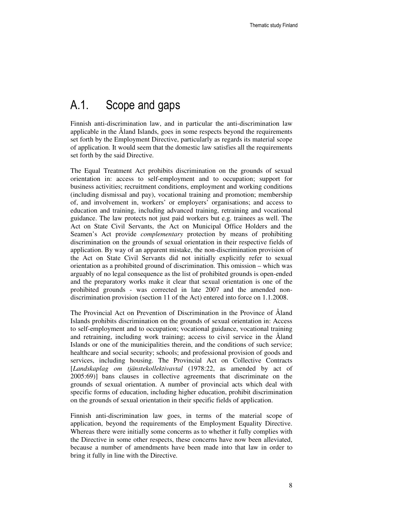### A.1. Scope and gaps

Finnish anti-discrimination law, and in particular the anti-discrimination law applicable in the Åland Islands, goes in some respects beyond the requirements set forth by the Employment Directive, particularly as regards its material scope of application. It would seem that the domestic law satisfies all the requirements set forth by the said Directive.

The Equal Treatment Act prohibits discrimination on the grounds of sexual orientation in: access to self-employment and to occupation; support for business activities; recruitment conditions, employment and working conditions (including dismissal and pay), vocational training and promotion; membership of, and involvement in, workers' or employers' organisations; and access to education and training, including advanced training, retraining and vocational guidance. The law protects not just paid workers but e.g. trainees as well. The Act on State Civil Servants, the Act on Municipal Office Holders and the Seamen's Act provide *complementary* protection by means of prohibiting discrimination on the grounds of sexual orientation in their respective fields of application. By way of an apparent mistake, the non-discrimination provision of the Act on State Civil Servants did not initially explicitly refer to sexual orientation as a prohibited ground of discrimination. This omission – which was arguably of no legal consequence as the list of prohibited grounds is open-ended and the preparatory works make it clear that sexual orientation is one of the prohibited grounds - was corrected in late 2007 and the amended nondiscrimination provision (section 11 of the Act) entered into force on 1.1.2008.

The Provincial Act on Prevention of Discrimination in the Province of Åland Islands prohibits discrimination on the grounds of sexual orientation in: Access to self-employment and to occupation; vocational guidance, vocational training and retraining, including work training; access to civil service in the Åland Islands or one of the municipalities therein, and the conditions of such service; healthcare and social security; schools; and professional provision of goods and services, including housing. The Provincial Act on Collective Contracts [*Landskaplag om tjänstekollektivavtal* (1978:22, as amended by act of 2005:69)] bans clauses in collective agreements that discriminate on the grounds of sexual orientation. A number of provincial acts which deal with specific forms of education, including higher education, prohibit discrimination on the grounds of sexual orientation in their specific fields of application.

Finnish anti-discrimination law goes, in terms of the material scope of application, beyond the requirements of the Employment Equality Directive. Whereas there were initially some concerns as to whether it fully complies with the Directive in some other respects, these concerns have now been alleviated, because a number of amendments have been made into that law in order to bring it fully in line with the Directive.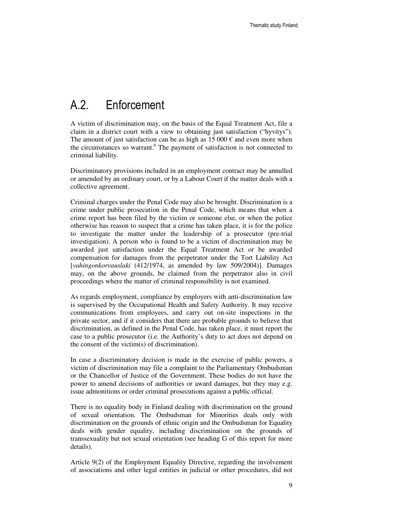### A.2. Enforcement

A victim of discrimination may, on the basis of the Equal Treatment Act, file a claim in a district court with a view to obtaining just satisfaction ("hyvitys"). The amount of just satisfaction can be as high as  $15\,000 \in \text{and even more when}$ the circumstances so warrant.<sup>6</sup> The payment of satisfaction is not connected to criminal liability.

Discriminatory provisions included in an employment contract may be annulled or amended by an ordinary court, or by a Labour Court if the matter deals with a collective agreement.

Criminal charges under the Penal Code may also be brought. Discrimination is a crime under public prosecution in the Penal Code, which means that when a crime report has been filed by the victim or someone else, or when the police otherwise has reason to suspect that a crime has taken place, it is for the police to investigate the matter under the leadership of a prosecutor (pre-trial investigation). A person who is found to be a victim of discrimination may be awarded just satisfaction under the Equal Treatment Act or be awarded compensation for damages from the perpetrator under the Tort Liability Act [*vahingonkorvauslaki* (412/1974, as amended by law 509/2004)]. Damages may, on the above grounds, be claimed from the perpetrator also in civil proceedings where the matter of criminal responsibility is not examined.

As regards employment, compliance by employers with anti-discrimination law is supervised by the Occupational Health and Safety Authority. It may receive communications from employees, and carry out on-site inspections in the private sector, and if it considers that there are probable grounds to believe that discrimination, as defined in the Penal Code, has taken place, it must report the case to a public prosecutor (i.e. the Authority's duty to act does not depend on the consent of the victim(s) of discrimination).

In case a discriminatory decision is made in the exercise of public powers, a victim of discrimination may file a complaint to the Parliamentary Ombudsman or the Chancellor of Justice of the Government. These bodies do not have the power to amend decisions of authorities or award damages, but they may e.g. issue admonitions or order criminal prosecutions against a public official.

There is no equality body in Finland dealing with discrimination on the ground of sexual orientation. The Ombudsman for Minorities deals only with discrimination on the grounds of ethnic origin and the Ombudsman for Equality deals with gender equality, including discrimination on the grounds of transsexuality but not sexual orientation (see heading G of this report for more details).

Article 9(2) of the Employment Equality Directive, regarding the involvement of associations and other legal entities in judicial or other procedures, did not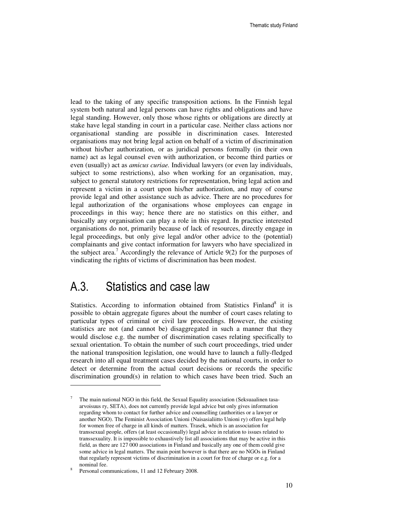lead to the taking of any specific transposition actions. In the Finnish legal system both natural and legal persons can have rights and obligations and have legal standing. However, only those whose rights or obligations are directly at stake have legal standing in court in a particular case. Neither class actions nor organisational standing are possible in discrimination cases. Interested organisations may not bring legal action on behalf of a victim of discrimination without his/her authorization, or as juridical persons formally (in their own name) act as legal counsel even with authorization, or become third parties or even (usually) act as *amicus curiae.* Individual lawyers (or even lay individuals, subject to some restrictions), also when working for an organisation, may, subject to general statutory restrictions for representation, bring legal action and represent a victim in a court upon his/her authorization, and may of course provide legal and other assistance such as advice. There are no procedures for legal authorization of the organisations whose employees can engage in proceedings in this way; hence there are no statistics on this either, and basically any organisation can play a role in this regard. In practice interested organisations do not, primarily because of lack of resources, directly engage in legal proceedings, but only give legal and/or other advice to the (potential) complainants and give contact information for lawyers who have specialized in the subject area.<sup>7</sup> Accordingly the relevance of Article 9(2) for the purposes of vindicating the rights of victims of discrimination has been modest.

#### A.3. Statistics and case law

Statistics. According to information obtained from Statistics Finland<sup>8</sup> it is possible to obtain aggregate figures about the number of court cases relating to particular types of criminal or civil law proceedings. However, the existing statistics are not (and cannot be) disaggregated in such a manner that they would disclose e.g. the number of discrimination cases relating specifically to sexual orientation. To obtain the number of such court proceedings, tried under the national transposition legislation, one would have to launch a fully-fledged research into all equal treatment cases decided by the national courts, in order to detect or determine from the actual court decisions or records the specific discrimination ground(s) in relation to which cases have been tried. Such an

<sup>7</sup> The main national NGO in this field, the Sexual Equality association (Seksuaalinen tasaarvoisuus ry, SETA), does not currently provide legal advice but only gives information regarding whom to contact for further advice and counselling (authorities or a lawyer or another NGO). The Feminist Association Unioni (Naisasialiitto Unioni ry) offers legal help for women free of charge in all kinds of matters. Trasek, which is an association for transsexual people, offers (at least occasionally) legal advice in relation to issues related to transsexuality. It is impossible to exhaustively list all associations that may be active in this field, as there are 127 000 associations in Finland and basically any one of them could give some advice in legal matters. The main point however is that there are no NGOs in Finland that regularly represent victims of discrimination in a court for free of charge or e.g. for a nominal fee.

<sup>8</sup> Personal communications, 11 and 12 February 2008.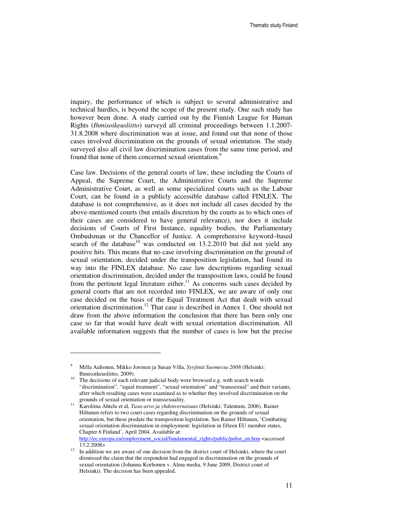inquiry, the performance of which is subject to several administrative and technical hurdles, is beyond the scope of the present study. One such study has however been done. A study carried out by the Finnish League for Human Rights (*Ihmisoikeusliitto*) surveyd all criminal proceedings between 1.1.2007- 31.8.2008 where discrimination was at issue, and found out that none of those cases involved discrimination on the grounds of sexual orientation. The study surveyed also all civil law discrimination cases from the same time period, and found that none of them concerned sexual orientation.<sup>9</sup>

Case law. Decisions of the general courts of law, these including the Courts of Appeal, the Supreme Court, the Administrative Courts and the Supreme Administrative Court, as well as some specialized courts such as the Labour Court, can be found in a publicly accessible database called FINLEX. The database is not comprehensive, as it does not include all cases decided by the above-mentioned courts (but entails discretion by the courts as to which ones of their cases are considered to have general relevance), nor does it include decisions of Courts of First Instance, equality bodies, the Parliamentary Ombudsman or the Chancellor of Justice. A comprehensive keyword–based search of the database<sup>10</sup> was conducted on 13.2.2010 but did not yield any positive hits. This means that no case involving discrimination on the ground of sexual orientation, decided under the transposition legislation, had found its way into the FINLEX database. No case law descriptions regarding sexual orientation discrimination, decided under the transposition laws, could be found from the pertinent legal literature either.<sup>11</sup> As concerns such cases decided by general courts that are not recorded into FINLEX, we are aware of only one case decided on the basis of the Equal Treatment Act that dealt with sexual orientation discrimination.<sup>12</sup> That case is described in Annex 1. One should not draw from the above information the conclusion that there has been only one case so far that would have dealt with sexual orientation discrimination. All available information suggests that the number of cases is low but the precise

l

<sup>9</sup> Milla Aaltonen, Mikko Joronen ja Susan Villa, *Syrjintä Suomessa 2008* (Helsinki: Ihmisoikeusliitto, 2009).

<sup>&</sup>lt;sup>10</sup> The decisions of each relevant judicial body were browsed e.g. with search words "discrimination", "equal treatment", "sexual orientation" and "transsexual" and their variants, after which resulting cases were examined as to whether they involved discrimination on the grounds of sexual orientation or transsexuality.

<sup>11</sup> Karoliina Ahtela et al, *Tasa-arvo ja yhdenvertaisuus* (Helsinki: Talentum, 2006)*.* Rainer Hiltunen refers to two court cases regarding discrimination on the grounds of sexual orientation, but these predate the transposition legislation. See Rainer Hiltunen, 'Combating sexual orientation discrimination in employment: legislation in fifteen EU member states, Chapter 6 Finland', April 2004. Available at:

http://ec.europa.eu/employment\_social/fundamental\_rights/public/pubst\_en.htm <accessed 13.2.2008>

 $12$  In addition we are aware of one decision from the district court of Helsinki, where the court dismissed the claim that the respondent had engaged in discrimination on the grounds of sexual orientation (Johanna Korhonen v. Alma media, 9 June 2009, District court of Helsinki). The decision has been appealed.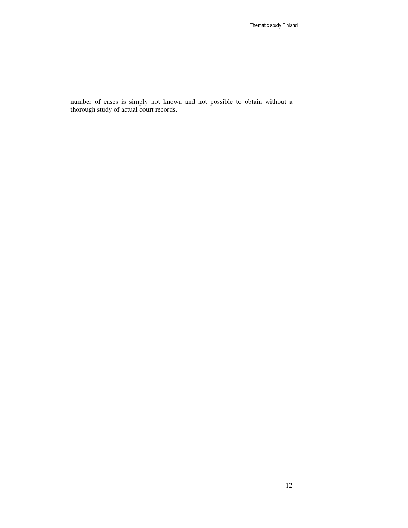number of cases is simply not known and not possible to obtain without a thorough study of actual court records.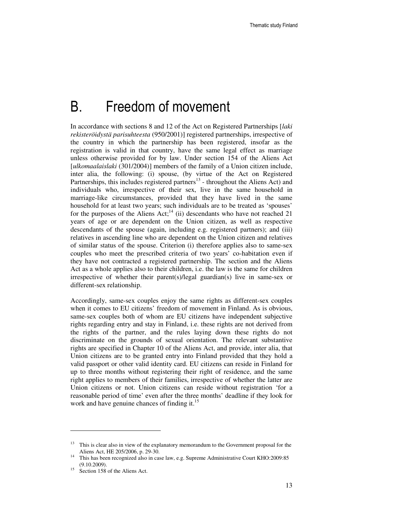## B. Freedom of movement

In accordance with sections 8 and 12 of the Act on Registered Partnerships [*laki rekisteröidystä parisuhteesta* (950/2001)] registered partnerships, irrespective of the country in which the partnership has been registered, insofar as the registration is valid in that country, have the same legal effect as marriage unless otherwise provided for by law. Under section 154 of the Aliens Act [*ulkomaalaislaki* (301/2004)] members of the family of a Union citizen include, inter alia, the following: (i) spouse, (by virtue of the Act on Registered Partnerships, this includes registered partners<sup>13</sup> - throughout the Aliens Act) and individuals who, irrespective of their sex, live in the same household in marriage-like circumstances, provided that they have lived in the same household for at least two years; such individuals are to be treated as 'spouses' for the purposes of the Aliens Act;<sup>14</sup> (ii) descendants who have not reached 21 years of age or are dependent on the Union citizen, as well as respective descendants of the spouse (again, including e.g. registered partners); and (iii) relatives in ascending line who are dependent on the Union citizen and relatives of similar status of the spouse. Criterion (i) therefore applies also to same-sex couples who meet the prescribed criteria of two years' co-habitation even if they have not contracted a registered partnership. The section and the Aliens Act as a whole applies also to their children, i.e. the law is the same for children irrespective of whether their parent(s)/legal guardian(s) live in same-sex or different-sex relationship.

Accordingly, same-sex couples enjoy the same rights as different-sex couples when it comes to EU citizens' freedom of movement in Finland. As is obvious, same-sex couples both of whom are EU citizens have independent subjective rights regarding entry and stay in Finland, i.e. these rights are not derived from the rights of the partner, and the rules laying down these rights do not discriminate on the grounds of sexual orientation. The relevant substantive rights are specified in Chapter 10 of the Aliens Act, and provide, inter alia, that Union citizens are to be granted entry into Finland provided that they hold a valid passport or other valid identity card. EU citizens can reside in Finland for up to three months without registering their right of residence, and the same right applies to members of their families, irrespective of whether the latter are Union citizens or not. Union citizens can reside without registration 'for a reasonable period of time' even after the three months' deadline if they look for work and have genuine chances of finding it.<sup>15</sup>

<sup>&</sup>lt;sup>13</sup> This is clear also in view of the explanatory memorandum to the Government proposal for the Aliens Act, HE 205/2006, p. 29-30.

<sup>&</sup>lt;sup>14</sup> This has been recognized also in case law, e.g. Supreme Administrative Court KHO:2009:85 (9.10.2009).

<sup>15</sup> Section 158 of the Aliens Act.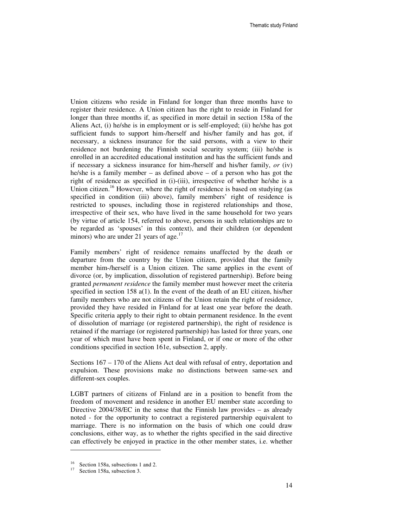Union citizens who reside in Finland for longer than three months have to register their residence. A Union citizen has the right to reside in Finland for longer than three months if, as specified in more detail in section 158a of the Aliens Act, (i) he/she is in employment or is self-employed; (ii) he/she has got sufficient funds to support him-/herself and his/her family and has got, if necessary, a sickness insurance for the said persons, with a view to their residence not burdening the Finnish social security system; (iii) he/she is enrolled in an accredited educational institution and has the sufficient funds and if necessary a sickness insurance for him-/herself and his/her family, *or* (iv) he/she is a family member – as defined above – of a person who has got the right of residence as specified in (i)-(iii), irrespective of whether he/she is a Union citizen.<sup>16</sup> However, where the right of residence is based on studying (as specified in condition (iii) above), family members' right of residence is restricted to spouses, including those in registered relationships and those, irrespective of their sex, who have lived in the same household for two years (by virtue of article 154, referred to above, persons in such relationships are to be regarded as 'spouses' in this context), and their children (or dependent minors) who are under 21 years of age. $17$ 

Family members' right of residence remains unaffected by the death or departure from the country by the Union citizen, provided that the family member him-/herself is a Union citizen. The same applies in the event of divorce (or, by implication, dissolution of registered partnership). Before being granted *permanent residence* the family member must however meet the criteria specified in section 158 a(1). In the event of the death of an EU citizen, his/her family members who are not citizens of the Union retain the right of residence, provided they have resided in Finland for at least one year before the death. Specific criteria apply to their right to obtain permanent residence. In the event of dissolution of marriage (or registered partnership), the right of residence is retained if the marriage (or registered partnership) has lasted for three years, one year of which must have been spent in Finland, or if one or more of the other conditions specified in section 161e, subsection 2, apply.

Sections 167 – 170 of the Aliens Act deal with refusal of entry, deportation and expulsion. These provisions make no distinctions between same-sex and different-sex couples.

LGBT partners of citizens of Finland are in a position to benefit from the freedom of movement and residence in another EU member state according to Directive 2004/38/EC in the sense that the Finnish law provides – as already noted - for the opportunity to contract a registered partnership equivalent to marriage. There is no information on the basis of which one could draw conclusions, either way, as to whether the rights specified in the said directive can effectively be enjoyed in practice in the other member states, i.e. whether

<sup>&</sup>lt;sup>16</sup> Section 158a, subsections 1 and 2.

<sup>17</sup> Section 158a, subsection 3.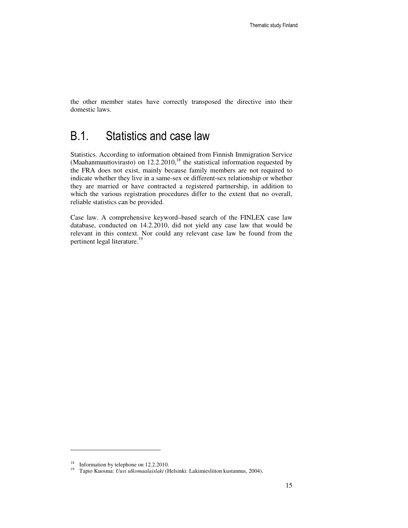the other member states have correctly transposed the directive into their domestic laws.

#### B.1. Statistics and case law

Statistics. According to information obtained from Finnish Immigration Service (Maahanmuuttovirasto) on  $12.2.2010$ ,<sup>18</sup> the statistical information requested by the FRA does not exist, mainly because family members are not required to indicate whether they live in a same-sex or different-sex relationship or whether they are married or have contracted a registered partnership, in addition to which the various registration procedures differ to the extent that no overall, reliable statistics can be provided.

Case law. A comprehensive keyword–based search of the FINLEX case law database, conducted on 14.2.2010, did not yield any case law that would be relevant in this context. Nor could any relevant case law be found from the pertinent legal literature.<sup>19</sup>

<sup>&</sup>lt;sup>18</sup> Information by telephone on 12.2.2010.

<sup>19</sup> Tapio Kuosma: *Uusi ulkomaalaislaki* (Helsinki: Lakimiesliiton kustannus, 2004).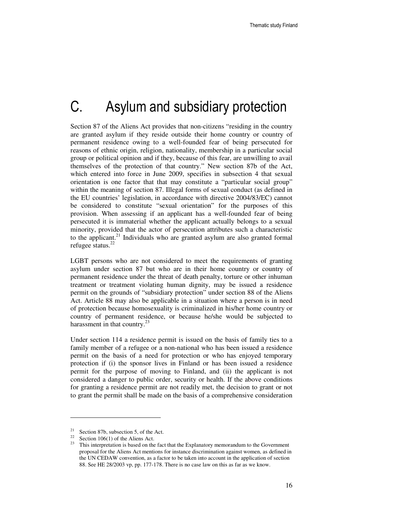## C. Asylum and subsidiary protection

Section 87 of the Aliens Act provides that non-citizens "residing in the country are granted asylum if they reside outside their home country or country of permanent residence owing to a well-founded fear of being persecuted for reasons of ethnic origin, religion, nationality, membership in a particular social group or political opinion and if they, because of this fear, are unwilling to avail themselves of the protection of that country." New section 87b of the Act, which entered into force in June 2009, specifies in subsection 4 that sexual orientation is one factor that that may constitute a "particular social group" within the meaning of section 87. Illegal forms of sexual conduct (as defined in the EU countries' legislation, in accordance with directive 2004/83/EC) cannot be considered to constitute "sexual orientation" for the purposes of this provision. When assessing if an applicant has a well-founded fear of being persecuted it is immaterial whether the applicant actually belongs to a sexual minority, provided that the actor of persecution attributes such a characteristic to the applicant.<sup>21</sup> Individuals who are granted asylum are also granted formal refugee status. $^{22}$ 

LGBT persons who are not considered to meet the requirements of granting asylum under section 87 but who are in their home country or country of permanent residence under the threat of death penalty, torture or other inhuman treatment or treatment violating human dignity, may be issued a residence permit on the grounds of "subsidiary protection" under section 88 of the Aliens Act. Article 88 may also be applicable in a situation where a person is in need of protection because homosexuality is criminalized in his/her home country or country of permanent residence, or because he/she would be subjected to harassment in that country. $2<sup>3</sup>$ 

Under section 114 a residence permit is issued on the basis of family ties to a family member of a refugee or a non-national who has been issued a residence permit on the basis of a need for protection or who has enjoyed temporary protection if (i) the sponsor lives in Finland or has been issued a residence permit for the purpose of moving to Finland, and (ii) the applicant is not considered a danger to public order, security or health. If the above conditions for granting a residence permit are not readily met, the decision to grant or not to grant the permit shall be made on the basis of a comprehensive consideration

 $21$  Section 87b, subsection 5, of the Act.

<sup>&</sup>lt;sup>22</sup> Section 106(1) of the Aliens Act.

<sup>&</sup>lt;sup>23</sup> This interpretation is based on the fact that the Explanatory memorandum to the Government proposal for the Aliens Act mentions for instance discrimination against women, as defined in the UN CEDAW convention, as a factor to be taken into account in the application of section 88. See HE 28/2003 vp, pp. 177-178. There is no case law on this as far as we know.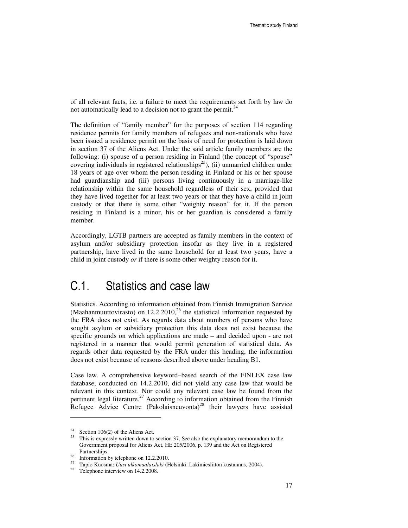of all relevant facts, i.e. a failure to meet the requirements set forth by law do not automatically lead to a decision not to grant the permit.<sup>2</sup>

The definition of "family member" for the purposes of section 114 regarding residence permits for family members of refugees and non-nationals who have been issued a residence permit on the basis of need for protection is laid down in section 37 of the Aliens Act. Under the said article family members are the following: (i) spouse of a person residing in Finland (the concept of "spouse" covering individuals in registered relationships<sup>25</sup>), (ii) unmarried children under 18 years of age over whom the person residing in Finland or his or her spouse had guardianship and (iii) persons living continuously in a marriage-like relationship within the same household regardless of their sex, provided that they have lived together for at least two years or that they have a child in joint custody or that there is some other "weighty reason" for it. If the person residing in Finland is a minor, his or her guardian is considered a family member.

Accordingly, LGTB partners are accepted as family members in the context of asylum and/or subsidiary protection insofar as they live in a registered partnership, have lived in the same household for at least two years, have a child in joint custody *or* if there is some other weighty reason for it.

#### C.1. Statistics and case law

Statistics. According to information obtained from Finnish Immigration Service (Maahanmuuttovirasto) on 12.2.2010,<sup>26</sup> the statistical information requested by the FRA does not exist. As regards data about numbers of persons who have sought asylum or subsidiary protection this data does not exist because the specific grounds on which applications are made – and decided upon - are not registered in a manner that would permit generation of statistical data. As regards other data requested by the FRA under this heading, the information does not exist because of reasons described above under heading B1.

Case law. A comprehensive keyword–based search of the FINLEX case law database, conducted on 14.2.2010, did not yield any case law that would be relevant in this context. Nor could any relevant case law be found from the pertinent legal literature.<sup>27</sup> According to information obtained from the Finnish Refugee Advice Centre (Pakolaisneuvonta)<sup>28</sup> their lawyers have assisted

<sup>&</sup>lt;sup>24</sup> Section 106(2) of the Aliens Act.<br><sup>25</sup> This is approach unit a down to

<sup>25</sup> This is expressly written down to section 37. See also the explanatory memorandum to the Government proposal for Aliens Act, HE 205/2006, p. 139 and the Act on Registered Partnerships.

<sup>&</sup>lt;sup>26</sup> Information by telephone on 12.2.2010.<br><sup>27</sup> Topic Kuesmas Ungi ulkamaglaialahi (E

<sup>27</sup> Tapio Kuosma: *Uusi ulkomaalaislaki* (Helsinki: Lakimiesliiton kustannus, 2004).

<sup>&</sup>lt;sup>28</sup> Telephone interview on 14.2.2008.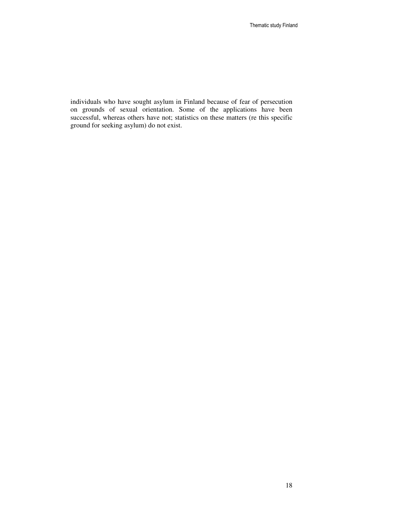individuals who have sought asylum in Finland because of fear of persecution on grounds of sexual orientation. Some of the applications have been successful, whereas others have not; statistics on these matters (re this specific ground for seeking asylum) do not exist.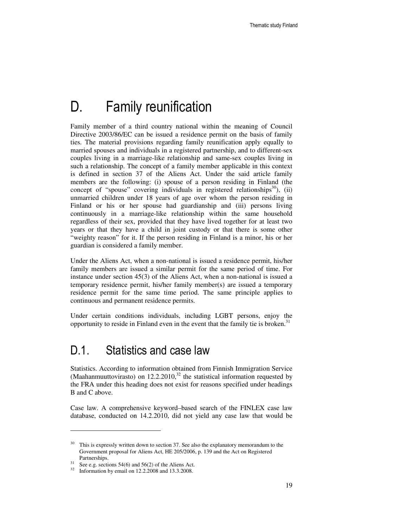## D. Family reunification

Family member of a third country national within the meaning of Council Directive 2003/86/EC can be issued a residence permit on the basis of family ties. The material provisions regarding family reunification apply equally to married spouses and individuals in a registered partnership, and to different-sex couples living in a marriage-like relationship and same-sex couples living in such a relationship. The concept of a family member applicable in this context is defined in section 37 of the Aliens Act. Under the said article family members are the following: (i) spouse of a person residing in Finland (the concept of "spouse" covering individuals in registered relationships<sup>30</sup>), (ii) unmarried children under 18 years of age over whom the person residing in Finland or his or her spouse had guardianship and (iii) persons living continuously in a marriage-like relationship within the same household regardless of their sex, provided that they have lived together for at least two years or that they have a child in joint custody or that there is some other "weighty reason" for it. If the person residing in Finland is a minor, his or her guardian is considered a family member.

Under the Aliens Act, when a non-national is issued a residence permit, his/her family members are issued a similar permit for the same period of time. For instance under section 45(3) of the Aliens Act, when a non-national is issued a temporary residence permit, his/her family member(s) are issued a temporary residence permit for the same time period. The same principle applies to continuous and permanent residence permits.

Under certain conditions individuals, including LGBT persons, enjoy the opportunity to reside in Finland even in the event that the family tie is broken.<sup>31</sup>

#### D.1. Statistics and case law

Statistics. According to information obtained from Finnish Immigration Service (Maahanmuuttovirasto) on  $12.2.2010$ ,<sup>32</sup> the statistical information requested by the FRA under this heading does not exist for reasons specified under headings B and C above.

Case law. A comprehensive keyword–based search of the FINLEX case law database, conducted on 14.2.2010, did not yield any case law that would be

<sup>&</sup>lt;sup>30</sup> This is expressly written down to section 37. See also the explanatory memorandum to the Government proposal for Aliens Act, HE 205/2006, p. 139 and the Act on Registered Partnerships.

 $31$  See e.g. sections 54(6) and 56(2) of the Aliens Act.

<sup>32</sup> Information by email on 12.2.2008 and 13.3.2008.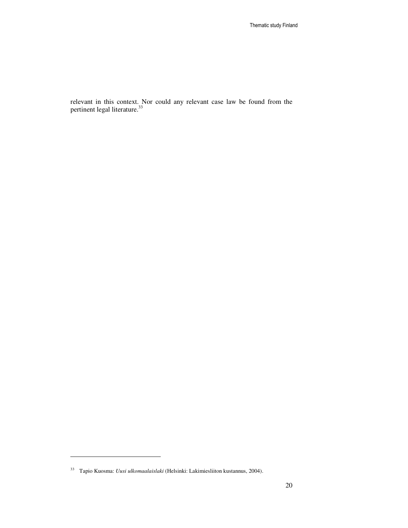relevant in this context. Nor could any relevant case law be found from the pertinent legal literature.<sup>33</sup>

l

<sup>33</sup> Tapio Kuosma: *Uusi ulkomaalaislaki* (Helsinki: Lakimiesliiton kustannus, 2004).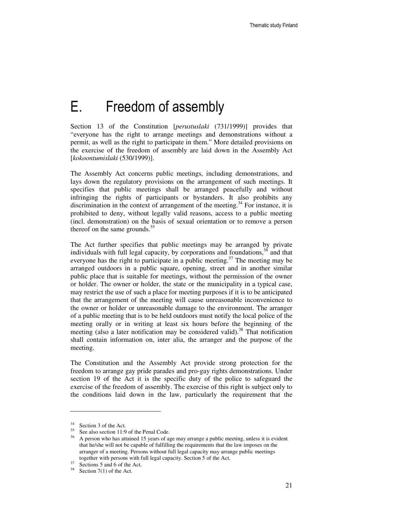### E. Freedom of assembly

Section 13 of the Constitution [*perustuslaki* (731/1999)] provides that "everyone has the right to arrange meetings and demonstrations without a permit, as well as the right to participate in them." More detailed provisions on the exercise of the freedom of assembly are laid down in the Assembly Act [*kokoontumislaki* (530/1999)].

The Assembly Act concerns public meetings, including demonstrations, and lays down the regulatory provisions on the arrangement of such meetings. It specifies that public meetings shall be arranged peacefully and without infringing the rights of participants or bystanders. It also prohibits any discrimination in the context of arrangement of the meeting.<sup>34</sup> For instance, it is prohibited to deny, without legally valid reasons, access to a public meeting (incl. demonstration) on the basis of sexual orientation or to remove a person thereof on the same grounds.<sup>35</sup>

The Act further specifies that public meetings may be arranged by private individuals with full legal capacity, by corporations and foundations, $36$  and that everyone has the right to participate in a public meeting.<sup>37</sup> The meeting may be arranged outdoors in a public square, opening, street and in another similar public place that is suitable for meetings, without the permission of the owner or holder. The owner or holder, the state or the municipality in a typical case, may restrict the use of such a place for meeting purposes if it is to be anticipated that the arrangement of the meeting will cause unreasonable inconvenience to the owner or holder or unreasonable damage to the environment. The arranger of a public meeting that is to be held outdoors must notify the local police of the meeting orally or in writing at least six hours before the beginning of the meeting (also a later notification may be considered valid).<sup>38</sup> That notification shall contain information on, inter alia, the arranger and the purpose of the meeting.

The Constitution and the Assembly Act provide strong protection for the freedom to arrange gay pride parades and pro-gay rights demonstrations. Under section 19 of the Act it is the specific duty of the police to safeguard the exercise of the freedom of assembly. The exercise of this right is subject only to the conditions laid down in the law, particularly the requirement that the

<sup>34</sup> Section 3 of the Act.

<sup>&</sup>lt;sup>35</sup> See also section 11:9 of the Penal Code.

<sup>&</sup>lt;sup>36</sup> A person who has attained 15 years of age may arrange a public meeting, unless it is evident that he/she will not be capable of fulfilling the requirements that the law imposes on the arranger of a meeting. Persons without full legal capacity may arrange public meetings together with persons with full legal capacity. Section 5 of the Act.

 $37$  Sections 5 and 6 of the Act.

 $38$  Section 7(1) of the Act.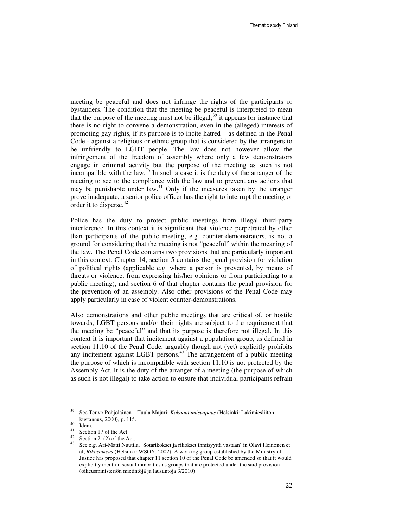meeting be peaceful and does not infringe the rights of the participants or bystanders. The condition that the meeting be peaceful is interpreted to mean that the purpose of the meeting must not be illegal; <sup>39</sup> it appears for instance that there is no right to convene a demonstration, even in the (alleged) interests of promoting gay rights, if its purpose is to incite hatred – as defined in the Penal Code - against a religious or ethnic group that is considered by the arrangers to be unfriendly to LGBT people. The law does not however allow the infringement of the freedom of assembly where only a few demonstrators engage in criminal activity but the purpose of the meeting as such is not incompatible with the law. $^{40}$  In such a case it is the duty of the arranger of the meeting to see to the compliance with the law and to prevent any actions that may be punishable under law.<sup>41</sup> Only if the measures taken by the arranger prove inadequate, a senior police officer has the right to interrupt the meeting or order it to disperse. $42$ 

Police has the duty to protect public meetings from illegal third-party interference. In this context it is significant that violence perpetrated by other than participants of the public meeting, e.g. counter-demonstrators, is not a ground for considering that the meeting is not "peaceful" within the meaning of the law. The Penal Code contains two provisions that are particularly important in this context: Chapter 14, section 5 contains the penal provision for violation of political rights (applicable e.g. where a person is prevented, by means of threats or violence, from expressing his/her opinions or from participating to a public meeting), and section 6 of that chapter contains the penal provision for the prevention of an assembly. Also other provisions of the Penal Code may apply particularly in case of violent counter-demonstrations.

Also demonstrations and other public meetings that are critical of, or hostile towards, LGBT persons and/or their rights are subject to the requirement that the meeting be "peaceful" and that its purpose is therefore not illegal. In this context it is important that incitement against a population group, as defined in section 11:10 of the Penal Code, arguably though not (yet) explicitly prohibits any incitement against LGBT persons.<sup>43</sup> The arrangement of a public meeting the purpose of which is incompatible with section 11:10 is not protected by the Assembly Act. It is the duty of the arranger of a meeting (the purpose of which as such is not illegal) to take action to ensure that individual participants refrain

l

<sup>39</sup> See Teuvo Pohjolainen – Tuula Majuri: *Kokoontumisvapaus* (Helsinki: Lakimiesliiton kustannus, 2000), p. 115.

<sup>40</sup> Idem.

<sup>41</sup> Section 17 of the Act.

 $42$  Section 21(2) of the Act.

<sup>43</sup> See e.g. Ari-Matti Nuutila, 'Sotarikokset ja rikokset ihmisyyttä vastaan' in Olavi Heinonen et al, *Rikosoikeus* (Helsinki: WSOY, 2002). A working group established by the Ministry of Justice has proposed that chapter 11 section 10 of the Penal Code be amended so that it would explicitly mention sexual minorities as groups that are protected under the said provision (oikeusministeriön mietintöjä ja lausuntoja 3/2010)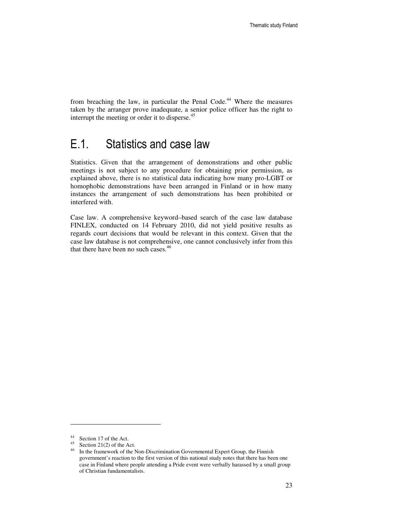from breaching the law, in particular the Penal Code.<sup>44</sup> Where the measures taken by the arranger prove inadequate, a senior police officer has the right to interrupt the meeting or order it to disperse.<sup>45</sup>

#### E.1. Statistics and case law

Statistics. Given that the arrangement of demonstrations and other public meetings is not subject to any procedure for obtaining prior permission, as explained above, there is no statistical data indicating how many pro-LGBT or homophobic demonstrations have been arranged in Finland or in how many instances the arrangement of such demonstrations has been prohibited or interfered with.

Case law. A comprehensive keyword–based search of the case law database FINLEX, conducted on 14 February 2010, did not yield positive results as regards court decisions that would be relevant in this context. Given that the case law database is not comprehensive, one cannot conclusively infer from this that there have been no such cases.<sup>46</sup>

<sup>44</sup> Section 17 of the Act.

<sup>&</sup>lt;sup>45</sup> Section 21(2) of the Act.<br><sup>46</sup> In the framework of the N

In the framework of the Non-Discrimination Governmental Expert Group, the Finnish government's reaction to the first version of this national study notes that there has been one case in Finland where people attending a Pride event were verbally harassed by a small group of Christian fundamentalists.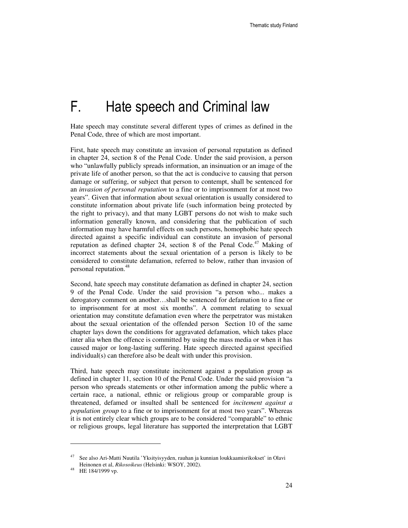# F. Hate speech and Criminal law

Hate speech may constitute several different types of crimes as defined in the Penal Code, three of which are most important.

First, hate speech may constitute an invasion of personal reputation as defined in chapter 24, section 8 of the Penal Code. Under the said provision, a person who "unlawfully publicly spreads information, an insinuation or an image of the private life of another person, so that the act is conducive to causing that person damage or suffering, or subject that person to contempt, shall be sentenced for an *invasion of personal reputation* to a fine or to imprisonment for at most two years". Given that information about sexual orientation is usually considered to constitute information about private life (such information being protected by the right to privacy), and that many LGBT persons do not wish to make such information generally known, and considering that the publication of such information may have harmful effects on such persons, homophobic hate speech directed against a specific individual can constitute an invasion of personal reputation as defined chapter 24, section 8 of the Penal Code.<sup>47</sup> Making of incorrect statements about the sexual orientation of a person is likely to be considered to constitute defamation, referred to below, rather than invasion of personal reputation.<sup>48</sup>

Second, hate speech may constitute defamation as defined in chapter 24, section 9 of the Penal Code. Under the said provision "a person who... makes a derogatory comment on another…shall be sentenced for defamation to a fine or to imprisonment for at most six months". A comment relating to sexual orientation may constitute defamation even where the perpetrator was mistaken about the sexual orientation of the offended person Section 10 of the same chapter lays down the conditions for aggravated defamation, which takes place inter alia when the offence is committed by using the mass media or when it has caused major or long-lasting suffering. Hate speech directed against specified individual(s) can therefore also be dealt with under this provision.

Third, hate speech may constitute incitement against a population group as defined in chapter 11, section 10 of the Penal Code. Under the said provision "a person who spreads statements or other information among the public where a certain race, a national, ethnic or religious group or comparable group is threatened, defamed or insulted shall be sentenced for *incitement against a population group* to a fine or to imprisonment for at most two years". Whereas it is not entirely clear which groups are to be considered "comparable" to ethnic or religious groups, legal literature has supported the interpretation that LGBT

<sup>47</sup> See also Ari-Matti Nuutila 'Yksityisyyden, rauhan ja kunnian loukkaamisrikokset' in Olavi Heinonen et al, *Rikosoikeus* (Helsinki: WSOY, 2002).

<sup>48</sup> HE 184/1999 vp.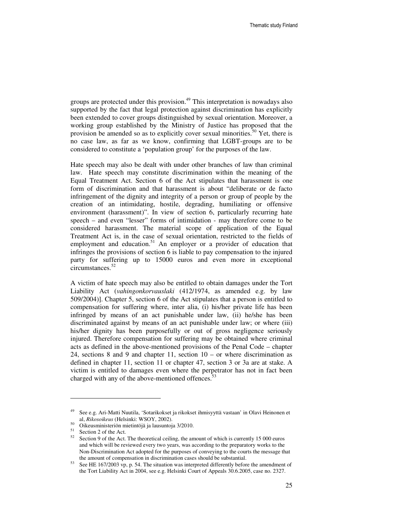groups are protected under this provision.<sup>49</sup> This interpretation is nowadays also supported by the fact that legal protection against discrimination has explicitly been extended to cover groups distinguished by sexual orientation. Moreover, a working group established by the Ministry of Justice has proposed that the provision be amended so as to explicitly cover sexual minorities.<sup>50</sup> Yet, there is no case law, as far as we know, confirming that LGBT-groups are to be considered to constitute a 'population group' for the purposes of the law.

Hate speech may also be dealt with under other branches of law than criminal law. Hate speech may constitute discrimination within the meaning of the Equal Treatment Act. Section 6 of the Act stipulates that harassment is one form of discrimination and that harassment is about "deliberate or de facto infringement of the dignity and integrity of a person or group of people by the creation of an intimidating, hostile, degrading, humiliating or offensive environment (harassment)". In view of section 6, particularly recurring hate speech – and even "lesser" forms of intimidation - may therefore come to be considered harassment. The material scope of application of the Equal Treatment Act is, in the case of sexual orientation, restricted to the fields of employment and education.<sup>51</sup> An employer or a provider of education that infringes the provisions of section 6 is liable to pay compensation to the injured party for suffering up to 15000 euros and even more in exceptional circumstances.<sup>52</sup>

A victim of hate speech may also be entitled to obtain damages under the Tort Liability Act (*vahingonkorvauslaki* (412/1974, as amended e.g. by law 509/2004)]. Chapter 5, section 6 of the Act stipulates that a person is entitled to compensation for suffering where, inter alia, (i) his/her private life has been infringed by means of an act punishable under law, (ii) he/she has been discriminated against by means of an act punishable under law; or where (iii) his/her dignity has been purposefully or out of gross negligence seriously injured. Therefore compensation for suffering may be obtained where criminal acts as defined in the above-mentioned provisions of the Penal Code – chapter 24, sections 8 and 9 and chapter 11, section 10 – or where discrimination as defined in chapter 11, section 11 or chapter 47, section 3 or 3a are at stake. A victim is entitled to damages even where the perpetrator has not in fact been charged with any of the above-mentioned offences.<sup>53</sup>

l

<sup>49</sup> See e.g. Ari-Matti Nuutila, 'Sotarikokset ja rikokset ihmisyyttä vastaan' in Olavi Heinonen et al, *Rikosoikeus* (Helsinki: WSOY, 2002).

<sup>50</sup> Oikeusministeriön mietintöjä ja lausuntoja 3/2010.

<sup>51</sup> Section 2 of the Act.

 $52$  Section 9 of the Act. The theoretical ceiling, the amount of which is currently 15 000 euros and which will be reviewed every two years, was according to the preparatory works to the Non-Discrimination Act adopted for the purposes of conveying to the courts the message that the amount of compensation in discrimination cases should be substantial.

See HE 167/2003 vp, p. 54. The situation was interpreted differently before the amendment of the Tort Liability Act in 2004, see e.g. Helsinki Court of Appeals 30.6.2005, case no. 2327.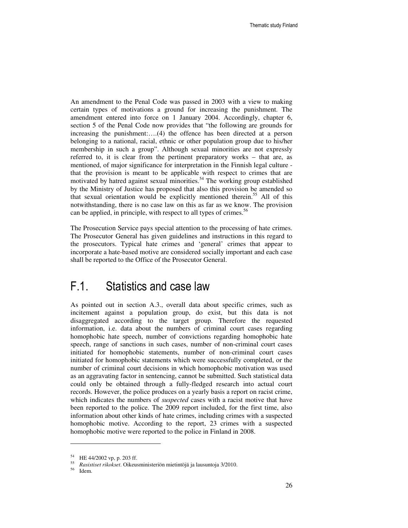An amendment to the Penal Code was passed in 2003 with a view to making certain types of motivations a ground for increasing the punishment. The amendment entered into force on 1 January 2004. Accordingly, chapter 6, section 5 of the Penal Code now provides that "the following are grounds for increasing the punishment:….(4) the offence has been directed at a person belonging to a national, racial, ethnic or other population group due to his/her membership in such a group". Although sexual minorities are not expressly referred to, it is clear from the pertinent preparatory works – that are, as mentioned, of major significance for interpretation in the Finnish legal culture that the provision is meant to be applicable with respect to crimes that are motivated by hatred against sexual minorities.<sup>54</sup> The working group established by the Ministry of Justice has proposed that also this provision be amended so that sexual orientation would be explicitly mentioned therein.<sup>55</sup> All of this notwithstanding, there is no case law on this as far as we know. The provision can be applied, in principle, with respect to all types of crimes.<sup>56</sup>

The Prosecution Service pays special attention to the processing of hate crimes. The Prosecutor General has given guidelines and instructions in this regard to the prosecutors. Typical hate crimes and 'general' crimes that appear to incorporate a hate-based motive are considered socially important and each case shall be reported to the Office of the Prosecutor General.

#### F.1. Statistics and case law

As pointed out in section A.3., overall data about specific crimes, such as incitement against a population group, do exist, but this data is not disaggregated according to the target group. Therefore the requested information, i.e. data about the numbers of criminal court cases regarding homophobic hate speech, number of convictions regarding homophobic hate speech, range of sanctions in such cases, number of non-criminal court cases initiated for homophobic statements, number of non-criminal court cases initiated for homophobic statements which were successfully completed, or the number of criminal court decisions in which homophobic motivation was used as an aggravating factor in sentencing, cannot be submitted. Such statistical data could only be obtained through a fully-fledged research into actual court records. However, the police produces on a yearly basis a report on racist crime, which indicates the numbers of *suspected* cases with a racist motive that have been reported to the police. The 2009 report included, for the first time, also information about other kinds of hate crimes, including crimes with a suspected homophobic motive. According to the report, 23 crimes with a suspected homophobic motive were reported to the police in Finland in 2008.

<sup>54</sup> HE 44/2002 vp, p. 203 ff.

<sup>55</sup> *Rasistiset rikokset*. Oikeusministeriön mietintöjä ja lausuntoja 3/2010.

<sup>56</sup> Idem.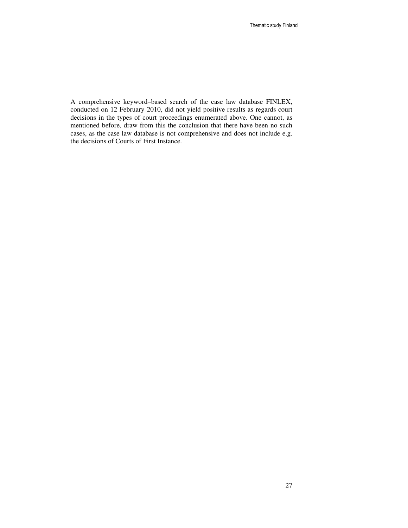A comprehensive keyword–based search of the case law database FINLEX, conducted on 12 February 2010, did not yield positive results as regards court decisions in the types of court proceedings enumerated above. One cannot, as mentioned before, draw from this the conclusion that there have been no such cases, as the case law database is not comprehensive and does not include e.g. the decisions of Courts of First Instance.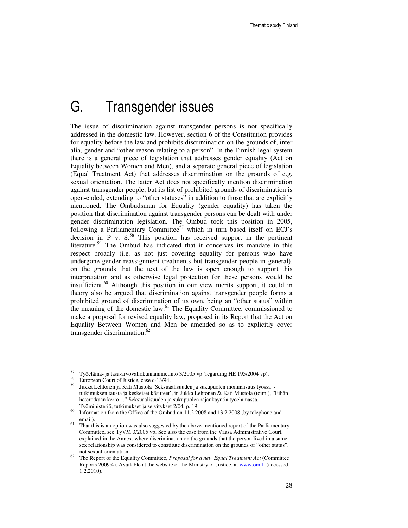### G. Transgender issues

The issue of discrimination against transgender persons is not specifically addressed in the domestic law. However, section 6 of the Constitution provides for equality before the law and prohibits discrimination on the grounds of, inter alia, gender and "other reason relating to a person". In the Finnish legal system there is a general piece of legislation that addresses gender equality (Act on Equality between Women and Men), and a separate general piece of legislation (Equal Treatment Act) that addresses discrimination on the grounds of e.g. sexual orientation. The latter Act does not specifically mention discrimination against transgender people, but its list of prohibited grounds of discrimination is open-ended, extending to "other statuses" in addition to those that are explicitly mentioned. The Ombudsman for Equality (gender equality) has taken the position that discrimination against transgender persons can be dealt with under gender discrimination legislation. The Ombud took this position in 2005, following a Parliamentary Committee<sup>57</sup> which in turn based itself on ECJ's decision in P v.  $S^{58}$  This position has received support in the pertinent literature.<sup>59</sup> The Ombud has indicated that it conceives its mandate in this respect broadly (i.e. as not just covering equality for persons who have undergone gender reassignment treatments but transgender people in general), on the grounds that the text of the law is open enough to support this interpretation and as otherwise legal protection for these persons would be insufficient.<sup>60</sup> Although this position in our view merits support, it could in theory also be argued that discrimination against transgender people forms a prohibited ground of discrimination of its own, being an "other status" within the meaning of the domestic law. $61$  The Equality Committee, commissioned to make a proposal for revised equality law, proposed in its Report that the Act on Equality Between Women and Men be amended so as to explicitly cover transgender discrimination.<sup>62</sup>

l

<sup>57</sup> Työelämä- ja tasa-arvovaliokunnanmietintö 3/2005 vp (regarding HE 195/2004 vp).

<sup>58</sup> European Court of Justice, case c-13/94.

<sup>59</sup> Jukka Lehtonen ja Kati Mustola 'Seksuaalisuuden ja sukupuolen moninaisuus työssä tutkimuksen tausta ja keskeiset käsitteet', in Jukka Lehtonen & Kati Mustola (toim.), "Eihän heterotkaan kerro…" Seksuaalisuuden ja sukupuolen rajankäyntiä työelämässä. Työministeriö, tutkimukset ja selvitykset 2/04, p. 19.

 $60$  Information from the Office of the Ombud on 11.2.2008 and 13.2.2008 (by telephone and email).

That this is an option was also suggested by the above-mentioned report of the Parliamentary Committee, see TyVM 3/2005 vp. See also the case from the Vaasa Administrative Court, explained in the Annex, where discrimination on the grounds that the person lived in a samesex relationship was considered to constitute discrimination on the grounds of "other status", not sexual orientation.

<sup>62</sup> The Report of the Equality Committee, *Proposal for a new Equal Treatment Act* (Committee Reports 2009:4). Available at the website of the Ministry of Justice, at www.om.fi (accessed 1.2.2010).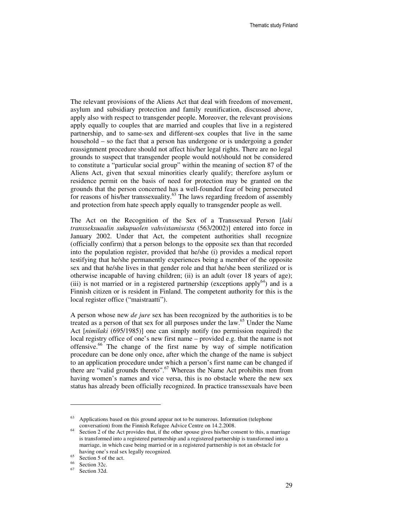The relevant provisions of the Aliens Act that deal with freedom of movement, asylum and subsidiary protection and family reunification, discussed above, apply also with respect to transgender people. Moreover, the relevant provisions apply equally to couples that are married and couples that live in a registered partnership, and to same-sex and different-sex couples that live in the same household – so the fact that a person has undergone or is undergoing a gender reassignment procedure should not affect his/her legal rights. There are no legal grounds to suspect that transgender people would not/should not be considered to constitute a "particular social group" within the meaning of section 87 of the Aliens Act, given that sexual minorities clearly qualify; therefore asylum or residence permit on the basis of need for protection may be granted on the grounds that the person concerned has a well-founded fear of being persecuted for reasons of his/her transsexuality.<sup>63</sup> The laws regarding freedom of assembly and protection from hate speech apply equally to transgender people as well.

The Act on the Recognition of the Sex of a Transsexual Person [*laki transseksuaalin sukupuolen vahvistamisesta* (563/2002)] entered into force in January 2002. Under that Act, the competent authorities shall recognize (officially confirm) that a person belongs to the opposite sex than that recorded into the population register, provided that he/she (i) provides a medical report testifying that he/she permanently experiences being a member of the opposite sex and that he/she lives in that gender role and that he/she been sterilized or is otherwise incapable of having children; (ii) is an adult (over 18 years of age); (iii) is not married or in a registered partnership (exceptions apply<sup>64</sup>) and is a Finnish citizen or is resident in Finland. The competent authority for this is the local register office ("maistraatti").

A person whose new *de jure* sex has been recognized by the authorities is to be treated as a person of that sex for all purposes under the law.<sup>65</sup> Under the Name Act [*nimilaki* (695/1985)] one can simply notify (no permission required) the local registry office of one's new first name – provided e.g. that the name is not offensive.<sup>66</sup> The change of the first name by way of simple notification procedure can be done only once, after which the change of the name is subject to an application procedure under which a person's first name can be changed if there are "valid grounds thereto".<sup>67</sup> Whereas the Name Act prohibits men from having women's names and vice versa, this is no obstacle where the new sex status has already been officially recognized. In practice transsexuals have been

Applications based on this ground appear not to be numerous. Information (telephone conversation) from the Finnish Refugee Advice Centre on 14.2.2008.

<sup>&</sup>lt;sup>64</sup> Section 2 of the Act provides that, if the other spouse gives his/her consent to this, a marriage is transformed into a registered partnership and a registered partnership is transformed into a marriage, in which case being married or in a registered partnership is not an obstacle for having one's real sex legally recognized.

 $65$  Section 5 of the act.

 $^{66}$  Section 32c.

Section 32d.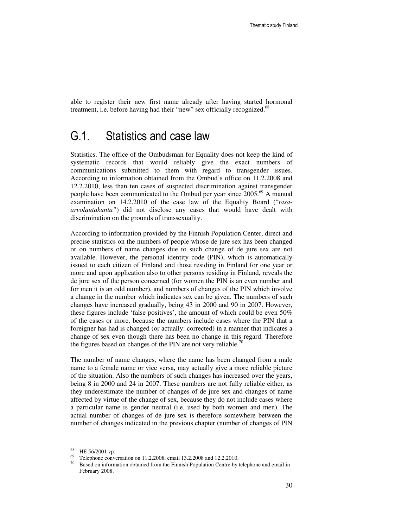able to register their new first name already after having started hormonal treatment, i.e. before having had their "new" sex officially recognized.<sup>68</sup>

#### G.1. Statistics and case law

Statistics. The office of the Ombudsman for Equality does not keep the kind of systematic records that would reliably give the exact numbers of communications submitted to them with regard to transgender issues. According to information obtained from the Ombud's office on 11.2.2008 and 12.2.2010, less than ten cases of suspected discrimination against transgender people have been communicated to the Ombud per year since 2005.<sup>69</sup> A manual examination on 14.2.2010 of the case law of the Equality Board ("*tasaarvolautakunta"*) did not disclose any cases that would have dealt with discrimination on the grounds of transsexuality.

According to information provided by the Finnish Population Center, direct and precise statistics on the numbers of people whose de jure sex has been changed or on numbers of name changes due to such change of de jure sex are not available. However, the personal identity code (PIN), which is automatically issued to each citizen of Finland and those residing in Finland for one year or more and upon application also to other persons residing in Finland, reveals the de jure sex of the person concerned (for women the PIN is an even number and for men it is an odd number), and numbers of changes of the PIN which involve a change in the number which indicates sex can be given. The numbers of such changes have increased gradually, being 43 in 2000 and 90 in 2007. However, these figures include 'false positives', the amount of which could be even 50% of the cases or more, because the numbers include cases where the PIN that a foreigner has had is changed (or actually: corrected) in a manner that indicates a change of sex even though there has been no change in this regard. Therefore the figures based on changes of the PIN are not very reliable.<sup>70</sup>

The number of name changes, where the name has been changed from a male name to a female name or vice versa, may actually give a more reliable picture of the situation. Also the numbers of such changes has increased over the years, being 8 in 2000 and 24 in 2007. These numbers are not fully reliable either, as they underestimate the number of changes of de jure sex and changes of name affected by virtue of the change of sex, because they do not include cases where a particular name is gender neutral (i.e. used by both women and men). The actual number of changes of de jure sex is therefore somewhere between the number of changes indicated in the previous chapter (number of changes of PIN

<sup>68</sup> HE 56/2001 vp.

<sup>&</sup>lt;sup>69</sup> Telephone conversation on 11.2.2008, email 13.2.2008 and 12.2.2010.

 $70$  Based on information obtained from the Finnish Population Centre by telephone and email in February 2008.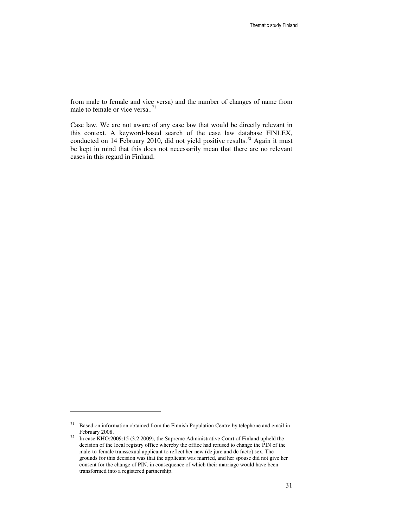from male to female and vice versa) and the number of changes of name from male to female or vice versa..<sup>71</sup>

Case law. We are not aware of any case law that would be directly relevant in this context. A keyword-based search of the case law database FINLEX, conducted on 14 February 2010, did not yield positive results.<sup>72</sup> Again it must be kept in mind that this does not necessarily mean that there are no relevant cases in this regard in Finland.

 $71$  Based on information obtained from the Finnish Population Centre by telephone and email in February 2008.

<sup>&</sup>lt;sup>72</sup> In case KHO:2009:15 (3.2.2009), the Supreme Administrative Court of Finland upheld the decision of the local registry office whereby the office had refused to change the PIN of the male-to-female transsexual applicant to reflect her new (de jure and de facto) sex. The grounds for this decision was that the applicant was married, and her spouse did not give her consent for the change of PIN, in consequence of which their marriage would have been transformed into a registered partnership.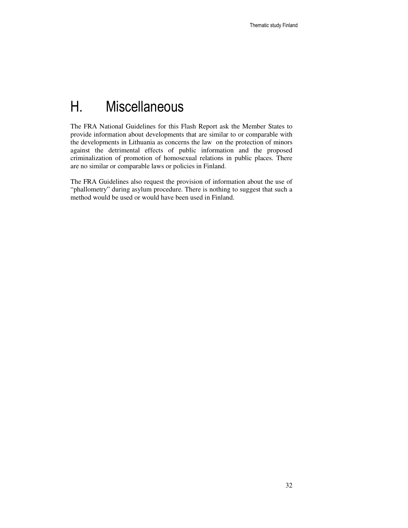# H. Miscellaneous

The FRA National Guidelines for this Flash Report ask the Member States to provide information about developments that are similar to or comparable with the developments in Lithuania as concerns the law on the protection of minors against the detrimental effects of public information and the proposed criminalization of promotion of homosexual relations in public places. There are no similar or comparable laws or policies in Finland.

The FRA Guidelines also request the provision of information about the use of "phallometry" during asylum procedure. There is nothing to suggest that such a method would be used or would have been used in Finland.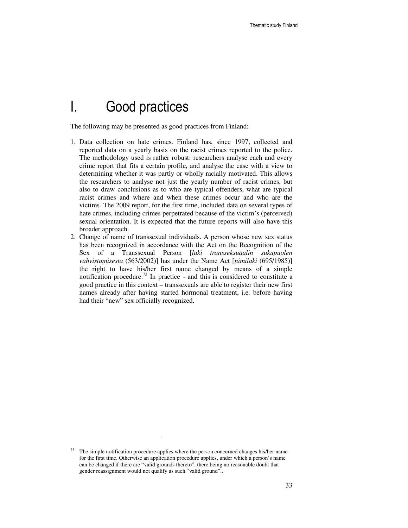### I. Good practices

The following may be presented as good practices from Finland:

- 1. Data collection on hate crimes. Finland has, since 1997, collected and reported data on a yearly basis on the racist crimes reported to the police. The methodology used is rather robust: researchers analyse each and every crime report that fits a certain profile, and analyse the case with a view to determining whether it was partly or wholly racially motivated. This allows the researchers to analyse not just the yearly number of racist crimes, but also to draw conclusions as to who are typical offenders, what are typical racist crimes and where and when these crimes occur and who are the victims. The 2009 report, for the first time, included data on several types of hate crimes, including crimes perpetrated because of the victim's (perceived) sexual orientation. It is expected that the future reports will also have this broader approach.
- 2. Change of name of transsexual individuals. A person whose new sex status has been recognized in accordance with the Act on the Recognition of the Sex of a Transsexual Person [*laki transseksuaalin sukupuolen vahvistamisesta* (563/2002)] has under the Name Act [*nimilaki* (695/1985)] the right to have his/her first name changed by means of a simple notification procedure.<sup>73</sup> In practice - and this is considered to constitute a good practice in this context – transsexuals are able to register their new first names already after having started hormonal treatment, i.e. before having had their "new" sex officially recognized.

The simple notification procedure applies where the person concerned changes his/her name for the first time. Otherwise an application procedure applies, under which a person's name can be changed if there are "valid grounds thereto", there being no reasonable doubt that gender reassignment would not qualify as such "valid ground"..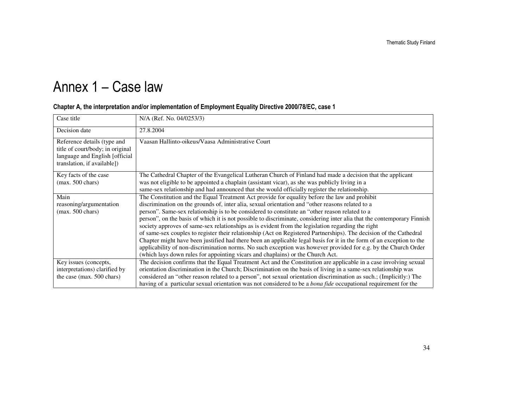# Annex 1 – Case law

| Case title                                                                                                                       | N/A (Ref. No. 04/0253/3)                                                                                                                                                                                                                                                                                                                                                                                                                                                                                                                                                                                                                                                                                                                                                                                                                                                                                                                                                              |
|----------------------------------------------------------------------------------------------------------------------------------|---------------------------------------------------------------------------------------------------------------------------------------------------------------------------------------------------------------------------------------------------------------------------------------------------------------------------------------------------------------------------------------------------------------------------------------------------------------------------------------------------------------------------------------------------------------------------------------------------------------------------------------------------------------------------------------------------------------------------------------------------------------------------------------------------------------------------------------------------------------------------------------------------------------------------------------------------------------------------------------|
| Decision date                                                                                                                    | 27.8.2004                                                                                                                                                                                                                                                                                                                                                                                                                                                                                                                                                                                                                                                                                                                                                                                                                                                                                                                                                                             |
| Reference details (type and<br>title of court/body; in original<br>language and English [official<br>translation, if available]) | Vaasan Hallinto-oikeus/Vaasa Administrative Court                                                                                                                                                                                                                                                                                                                                                                                                                                                                                                                                                                                                                                                                                                                                                                                                                                                                                                                                     |
| Key facts of the case<br>$(max. 500 \text{ chars})$                                                                              | The Cathedral Chapter of the Evangelical Lutheran Church of Finland had made a decision that the applicant<br>was not eligible to be appointed a chaplain (assistant vicar), as she was publicly living in a<br>same-sex relationship and had announced that she would officially register the relationship.                                                                                                                                                                                                                                                                                                                                                                                                                                                                                                                                                                                                                                                                          |
| Main<br>reasoning/argumentation<br>$(max. 500 \text{ chars})$                                                                    | The Constitution and the Equal Treatment Act provide for equality before the law and prohibit<br>discrimination on the grounds of, inter alia, sexual orientation and "other reasons related to a<br>person". Same-sex relationship is to be considered to constitute an "other reason related to a<br>person", on the basis of which it is not possible to discriminate, considering inter alia that the contemporary Finnish<br>society approves of same-sex relationships as is evident from the legislation regarding the right<br>of same-sex couples to register their relationship (Act on Registered Partnerships). The decision of the Cathedral<br>Chapter might have been justified had there been an applicable legal basis for it in the form of an exception to the<br>applicability of non-discrimination norms. No such exception was however provided for e.g. by the Church Order<br>(which lays down rules for appointing vicars and chaplains) or the Church Act. |
| Key issues (concepts,<br>interpretations) clarified by<br>the case (max. 500 chars)                                              | The decision confirms that the Equal Treatment Act and the Constitution are applicable in a case involving sexual<br>orientation discrimination in the Church; Discrimination on the basis of living in a same-sex relationship was<br>considered an "other reason related to a person", not sexual orientation discrimination as such.; (Implicitly:) The<br>having of a particular sexual orientation was not considered to be a <i>bona fide</i> occupational requirement for the                                                                                                                                                                                                                                                                                                                                                                                                                                                                                                  |

#### Chapter A, the interpretation and/or implementation of Employment Equality Directive 2000/78/EC, case 1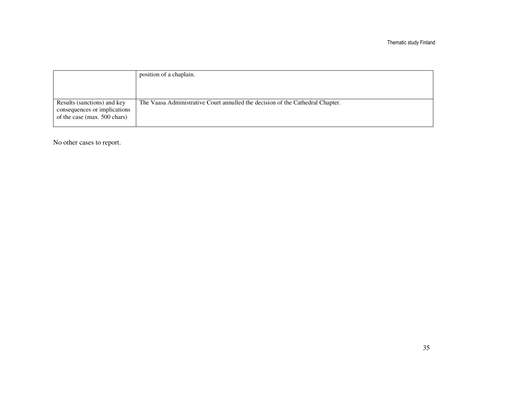| position of a chaplain.                                                        |
|--------------------------------------------------------------------------------|
|                                                                                |
|                                                                                |
| The Vaasa Administrative Court annulled the decision of the Cathedral Chapter. |
|                                                                                |

No other cases to report.